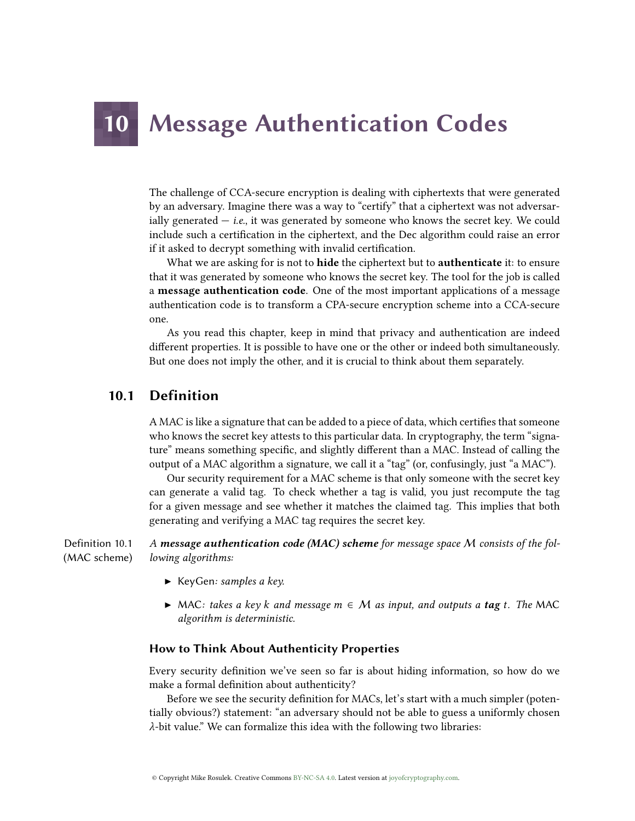# **Message Authentication Codes**

The challenge of CCA-secure encryption is dealing with ciphertexts that were generated by an adversary. Imagine there was a way to "certify" that a ciphertext was not adversarially generated  $-i.e.,$  it was generated by someone who knows the secret key. We could include such a certification in the ciphertext, and the Dec algorithm could raise an error if it asked to decrypt something with invalid certification.

What we are asking for is not to **hide** the ciphertext but to **authenticate** it: to ensure that it was generated by someone who knows the secret key. The tool for the job is called a message authentication code. One of the most important applications of a message authentication code is to transform a CPA-secure encryption scheme into a CCA-secure one.

As you read this chapter, keep in mind that privacy and authentication are indeed different properties. It is possible to have one or the other or indeed both simultaneously. But one does not imply the other, and it is crucial to think about them separately.

# 10.1 Definition

A MAC is like a signature that can be added to a piece of data, which certifies that someone who knows the secret key attests to this particular data. In cryptography, the term "signature" means something specific, and slightly different than a MAC. Instead of calling the output of a MAC algorithm a signature, we call it a "tag" (or, confusingly, just "a MAC").

Our security requirement for a MAC scheme is that only someone with the secret key can generate a valid tag. To check whether a tag is valid, you just recompute the tag for a given message and see whether it matches the claimed tag. This implies that both generating and verifying a MAC tag requires the secret key.

Definition 10.1 (MAC scheme) A message authentication code (MAC) scheme for message space  $M$  consists of the following algorithms:

- $\blacktriangleright$  KeyGen: samples a key.
- $\blacktriangleright$  MAC: takes a key k and message  $m \in \mathcal{M}$  as input, and outputs a tag t. The MAC algorithm is deterministic.

## How to Think About Authenticity Properties

Every security definition we've seen so far is about hiding information, so how do we make a formal definition about authenticity?

Before we see the security definition for MACs, let's start with a much simpler (potentially obvious?) statement: "an adversary should not be able to guess a uniformly chosen λ-bit value." We can formalize this idea with the following two libraries: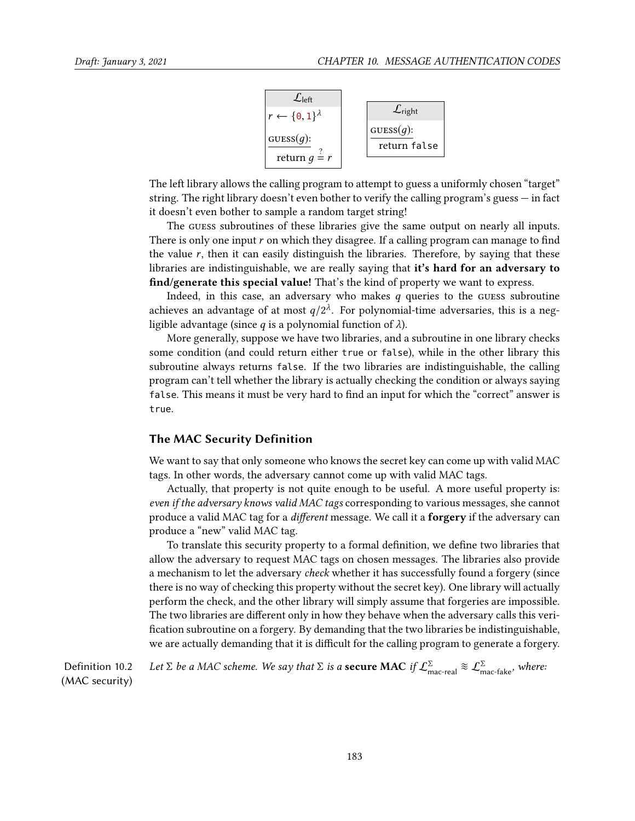| $\mathcal{L}_{\mathsf{left}}$    |                              |
|----------------------------------|------------------------------|
| $r \leftarrow \{0,1\}^{\lambda}$ | $\mathcal{L}_{\text{right}}$ |
| GUESS $(q)$ :<br>return $q = r$  | $GUESS(q)$ :<br>return false |

The left library allows the calling program to attempt to guess a uniformly chosen "target" string. The right library doesn't even bother to verify the calling program's guess — in fact it doesn't even bother to sample a random target string!

The guess subroutines of these libraries give the same output on nearly all inputs. There is only one input  $r$  on which they disagree. If a calling program can manage to find the value  $r$ , then it can easily distinguish the libraries. Therefore, by saying that these libraries are indistinguishable, we are really saying that it's hard for an adversary to find/generate this special value! That's the kind of property we want to express.

Indeed, in this case, an adversary who makes  $q$  queries to the guess subroutine achieves an advantage of at most  $q/2^{\lambda}$ . For polynomial-time adversaries, this is a neg-<br>ligible advantage (cince a is a polynomial function of  $\lambda$ ) ligible advantage (since q is a polynomial function of  $\lambda$ ).

More generally, suppose we have two libraries, and a subroutine in one library checks some condition (and could return either true or false), while in the other library this subroutine always returns false. If the two libraries are indistinguishable, the calling program can't tell whether the library is actually checking the condition or always saying false. This means it must be very hard to find an input for which the "correct" answer is true.

### The MAC Security Definition

We want to say that only someone who knows the secret key can come up with valid MAC tags. In other words, the adversary cannot come up with valid MAC tags.

Actually, that property is not quite enough to be useful. A more useful property is: even if the adversary knows valid MAC tags corresponding to various messages, she cannot produce a valid MAC tag for a *different* message. We call it a **forgery** if the adversary can produce a "new" valid MAC tag.

To translate this security property to a formal definition, we define two libraries that allow the adversary to request MAC tags on chosen messages. The libraries also provide a mechanism to let the adversary *check* whether it has successfully found a forgery (since there is no way of checking this property without the secret key). One library will actually perform the check, and the other library will simply assume that forgeries are impossible. The two libraries are different only in how they behave when the adversary calls this verification subroutine on a forgery. By demanding that the two libraries be indistinguishable, we are actually demanding that it is difficult for the calling program to generate a forgery.

Definition 10.2 (MAC security) Let  $\Sigma$  be a MAC scheme. We say that  $\Sigma$  is a **secure MAC** if  $\mathcal{L}_{\text{mac-real}}^{\Sigma} \approx \mathcal{L}_{\text{mac-fake}}^{\Sigma}$ , where: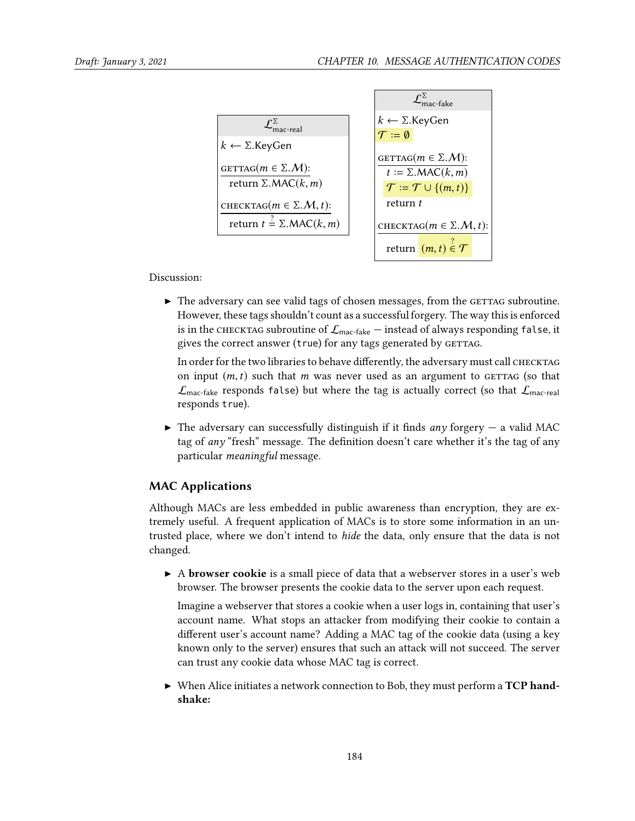

Discussion:

 $\blacktriangleright$  The adversary can see valid tags of chosen messages, from the GETTAG subroutine. However, these tags shouldn't count as a successful forgery. The way this is enforced is in the CHECKTAG subroutine of  $\mathcal{L}_{\text{mac-fake}}$  – instead of always responding false, it gives the correct answer (true) for any tags generated by GETTAG.

In order for the two libraries to behave differently, the adversary must call CHECKTAG on input  $(m, t)$  such that m was never used as an argument to GETTAG (so that  $\mathcal{L}_{\text{mac-fake}}$  responds false) but where the tag is actually correct (so that  $\mathcal{L}_{\text{mac-real}}$ responds true).

 $\blacktriangleright$  The adversary can successfully distinguish if it finds any forgery  $-$  a valid MAC tag of *any* "fresh" message. The definition doesn't care whether it's the tag of any particular meaningful message.

## MAC Applications

Although MACs are less embedded in public awareness than encryption, they are extremely useful. A frequent application of MACs is to store some information in an untrusted place, where we don't intend to *hide* the data, only ensure that the data is not changed.

 $\triangleright$  A browser cookie is a small piece of data that a webserver stores in a user's web browser. The browser presents the cookie data to the server upon each request.

Imagine a webserver that stores a cookie when a user logs in, containing that user's account name. What stops an attacker from modifying their cookie to contain a different user's account name? Adding a MAC tag of the cookie data (using a key known only to the server) ensures that such an attack will not succeed. The server can trust any cookie data whose MAC tag is correct.

 $\triangleright$  When Alice initiates a network connection to Bob, they must perform a **TCP hand**shake: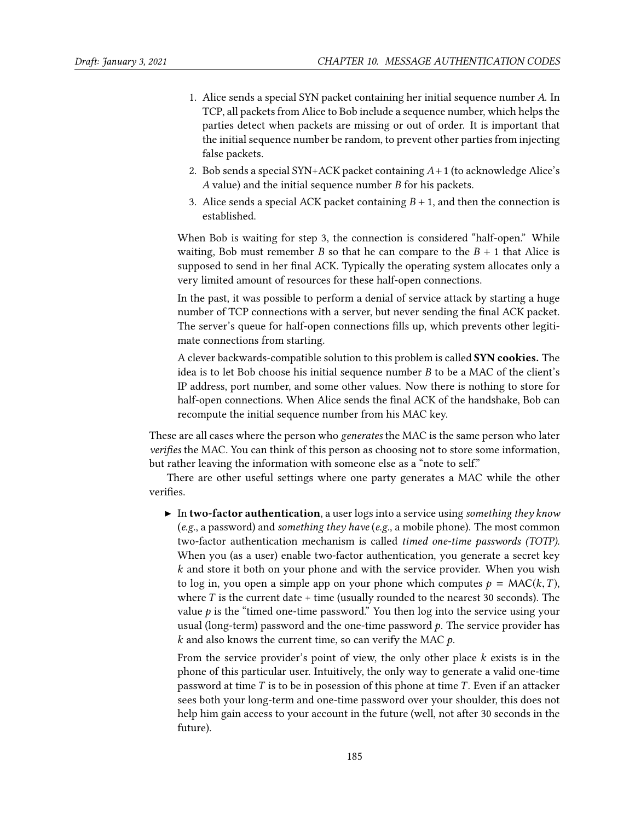- 1. Alice sends a special SYN packet containing her initial sequence number A. In TCP, all packets from Alice to Bob include a sequence number, which helps the parties detect when packets are missing or out of order. It is important that the initial sequence number be random, to prevent other parties from injecting false packets.
- 2. Bob sends a special SYN+ACK packet containing  $A+1$  (to acknowledge Alice's A value) and the initial sequence number B for his packets.
- 3. Alice sends a special ACK packet containing  $B + 1$ , and then the connection is established.

When Bob is waiting for step 3, the connection is considered "half-open." While waiting, Bob must remember B so that he can compare to the  $B + 1$  that Alice is supposed to send in her final ACK. Typically the operating system allocates only a very limited amount of resources for these half-open connections.

In the past, it was possible to perform a denial of service attack by starting a huge number of TCP connections with a server, but never sending the final ACK packet. The server's queue for half-open connections fills up, which prevents other legitimate connections from starting.

A clever backwards-compatible solution to this problem is called SYN cookies. The idea is to let Bob choose his initial sequence number B to be a MAC of the client's IP address, port number, and some other values. Now there is nothing to store for half-open connections. When Alice sends the final ACK of the handshake, Bob can recompute the initial sequence number from his MAC key.

These are all cases where the person who *generates* the MAC is the same person who later verifies the MAC. You can think of this person as choosing not to store some information, but rather leaving the information with someone else as a "note to self."

There are other useful settings where one party generates a MAC while the other verifies.

In two-factor authentication, a user logs into a service using something they know  $(e.g., a$  password) and something they have  $(e.g., a$  mobile phone). The most common two-factor authentication mechanism is called timed one-time passwords (TOTP). When you (as a user) enable two-factor authentication, you generate a secret key k and store it both on your phone and with the service provider. When you wish to log in, you open a simple app on your phone which computes  $p = MAC(k, T)$ , where  $T$  is the current date  $+$  time (usually rounded to the nearest 30 seconds). The value  $p$  is the "timed one-time password." You then log into the service using your usual (long-term) password and the one-time password  $p$ . The service provider has  $k$  and also knows the current time, so can verify the MAC  $p$ .

From the service provider's point of view, the only other place  $k$  exists is in the phone of this particular user. Intuitively, the only way to generate a valid one-time password at time  $T$  is to be in posession of this phone at time  $T$ . Even if an attacker sees both your long-term and one-time password over your shoulder, this does not help him gain access to your account in the future (well, not after 30 seconds in the future).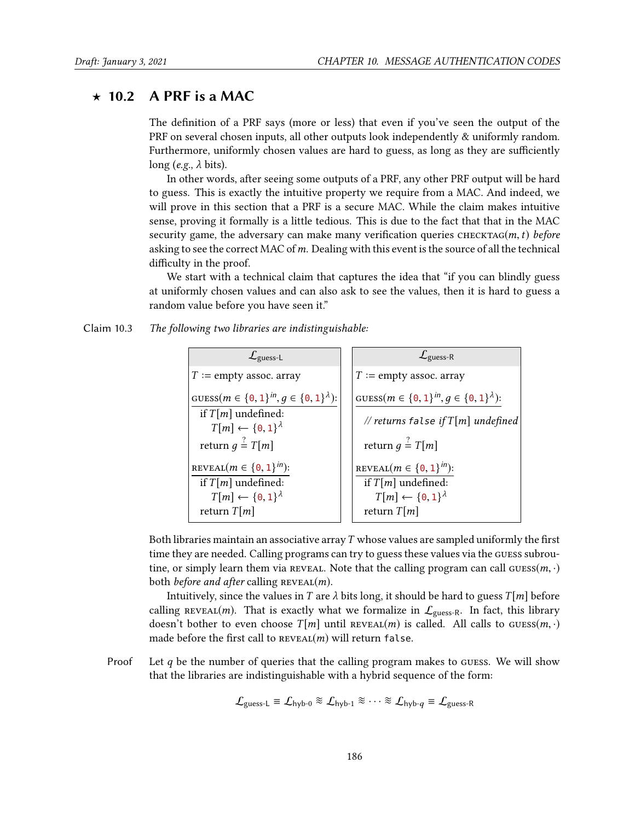# $\star$  10.2 A PRF is a MAC

The definition of a PRF says (more or less) that even if you've seen the output of the PRF on several chosen inputs, all other outputs look independently & uniformly random. Furthermore, uniformly chosen values are hard to guess, as long as they are sufficiently long (e.g.,  $\lambda$  bits).

In other words, after seeing some outputs of a PRF, any other PRF output will be hard to guess. This is exactly the intuitive property we require from a MAC. And indeed, we will prove in this section that a PRF is a secure MAC. While the claim makes intuitive sense, proving it formally is a little tedious. This is due to the fact that that in the MAC security game, the adversary can make many verification queries  $\text{CHECKTAG}(m, t)$  before asking to see the correct MAC of  $m$ . Dealing with this event is the source of all the technical difficulty in the proof.

We start with a technical claim that captures the idea that "if you can blindly guess at uniformly chosen values and can also ask to see the values, then it is hard to guess a random value before you have seen it."

Claim 10.3 The following two libraries are indistinguishable:

<span id="page-4-0"></span> $\mathcal{L}_{\text{guess-L}}$  $T \coloneqq$  empty assoc. array GUESS $(m \in \{0, 1\}^{in}, g \in \{0, 1\}^{\lambda})$ : if  $T[m]$  undefined:  $T[m] \leftarrow \{0, 1\}^{\lambda}$ return  $g \stackrel{?}{=} T[m]$ REVEAL $(m \in \{0, 1\}^m)$ :<br>if T[m] undefined. if  $T[m]$  undefined:  $T[m] \leftarrow \{0, 1\}^{\lambda}$ return  $T[m]$  $\mathcal{L}_{\text{guess-R}}$  $T \coloneqq \text{empty assoc. array}$ GUESS( $m \in \{0, 1\}^{in}, g \in \{0, 1\}^{\lambda}$ ): // returns false if  $T[m]$  undefined return  $g \stackrel{?}{=} T[m]$ REVEAL $(m \in \{0, 1\}^m)$ :<br>
if T[m] undefined. if  $T[m]$  undefined:  $T[m] \leftarrow \{0, 1\}^{\lambda}$ <br>turn  $T[m]$ return  $T[m]$ 

Both libraries maintain an associative array  $T$  whose values are sampled uniformly the first time they are needed. Calling programs can try to guess these values via the guess subroutine, or simply learn them via REVEAL. Note that the calling program can call GUESS $(m, \cdot)$ both *before and after* calling  $REVEL(Lm)$ .

Intuitively, since the values in T are  $\lambda$  bits long, it should be hard to guess  $T[m]$  before calling REVEAL(m). That is exactly what we formalize in  $\mathcal{L}_{\text{guess-R}}$ . In fact, this library doesn't bother to even choose  $T[m]$  until REVEAL(m) is called. All calls to GUESS(m, ·) made before the first call to  $REVEL(m)$  will return false.

Proof Let  $q$  be the number of queries that the calling program makes to guess. We will show that the libraries are indistinguishable with a hybrid sequence of the form:

$$
\mathcal{L}_{\text{guess-L}} \equiv \mathcal{L}_{\text{hyb-0}} \approx \mathcal{L}_{\text{hyb-1}} \approx \cdots \approx \mathcal{L}_{\text{hyb-q}} \equiv \mathcal{L}_{\text{guess-R}}
$$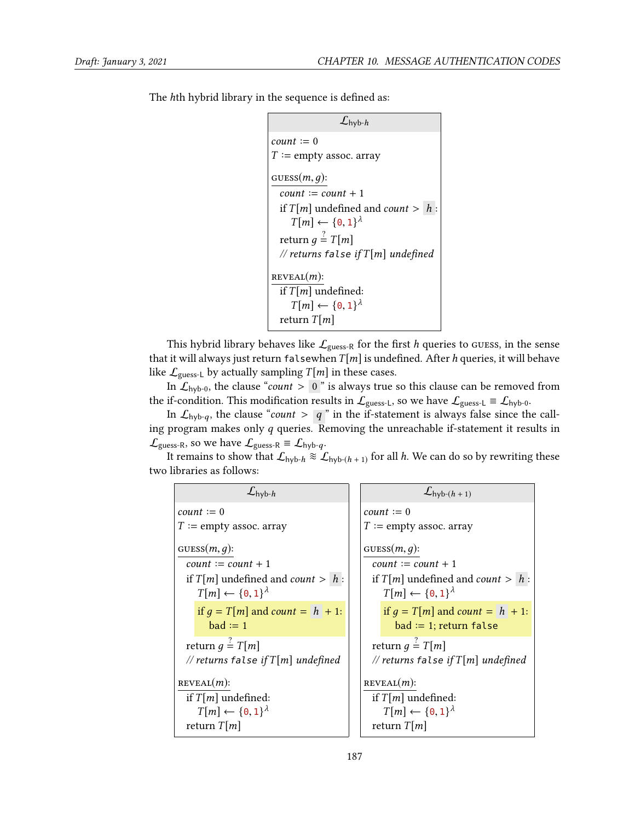The hth hybrid library in the sequence is defined as:

```
\mathcal{L}_{\mathsf{hyb-}h}count := 0T :=empty assoc. array
GUESs(m,q):count := count + 1if T[m] undefined and count > h :
      T[m] \leftarrow \{0, 1\}^{\lambda}return g \stackrel{?}{=} T[m]<br>// returns false
  // returns false if T[m] undefined
REVELAL(m):
  if T[m] undefined:
      T[m] \leftarrow \{0, 1\}^{\lambda}<br>turn T[m]return T[m]
```
This hybrid library behaves like  $\mathcal{L}_{\text{guess-R}}$  for the first h queries to GUESS, in the sense that it will always just return falsewhen  $T[m]$  is undefined. After h queries, it will behave like  $\mathcal{L}_{\text{guess-L}}$  by actually sampling  $T[m]$  in these cases.

In  $\mathcal{L}_{\text{hyb-0}}$ , the clause "*count* > 0" is always true so this clause can be removed from the if-condition. This modification results in  $\mathcal{L}_{\text{guess-L}}$ , so we have  $\mathcal{L}_{\text{guess-L}} \equiv \mathcal{L}_{\text{hyb-0}}$ .

In  $\mathcal{L}_{\text{hyb-}q}$ , the clause "count  $>q$ " in the if-statement is always false since the calling program makes only  $q$  queries. Removing the unreachable if-statement it results in  $\mathcal{L}_{\text{guess-R}}$ , so we have  $\mathcal{L}_{\text{guess-R}} \equiv \mathcal{L}_{\text{hyb-q}}$ .

It remains to show that  $\mathcal{L}_{\text{hyb-}h} \approx \mathcal{L}_{\text{hyb-(}h+1)}$  for all h. We can do so by rewriting these two libraries as follows:

```
\mathcal{L}_{\mathsf{hyb-}h}count := 0T :=empty assoc. array
GUESs(m,q):count := count + 1if T[m] undefined and count > h:
     T[m] \leftarrow \{0, 1\}^{\lambda}if q = T[m] and count = |h| + 1:
        bad := 1return g \stackrel{?}{=} T[m]<br>// returns false
  // returns false if T[m] undefined
REVELAL(m):
  if T[m] undefined:
     T[m] \leftarrow \{0, 1\}^{\lambda}<br>turn T[m]return T[m]\mathcal{L}_{\text{hyb}-(h+1)}count := 0T :=empty assoc. array
                                                      GUESS(m,q):count := count + 1if T[m] undefined and count > h:
                                                            T[m] \leftarrow \{0, 1\}^{\lambda}if q = T[m] and count = |h| + 1:
                                                               bad := 1; return falsereturn g \stackrel{?}{=} T[m]<br>// returns false
                                                        // returns false if T[m] undefined
                                                      REVELAL(m):
                                                        if T[m] undefined:
                                                            T[m] \leftarrow \{0, 1\}^{\lambda}<br>turn T[m]return T[m]
```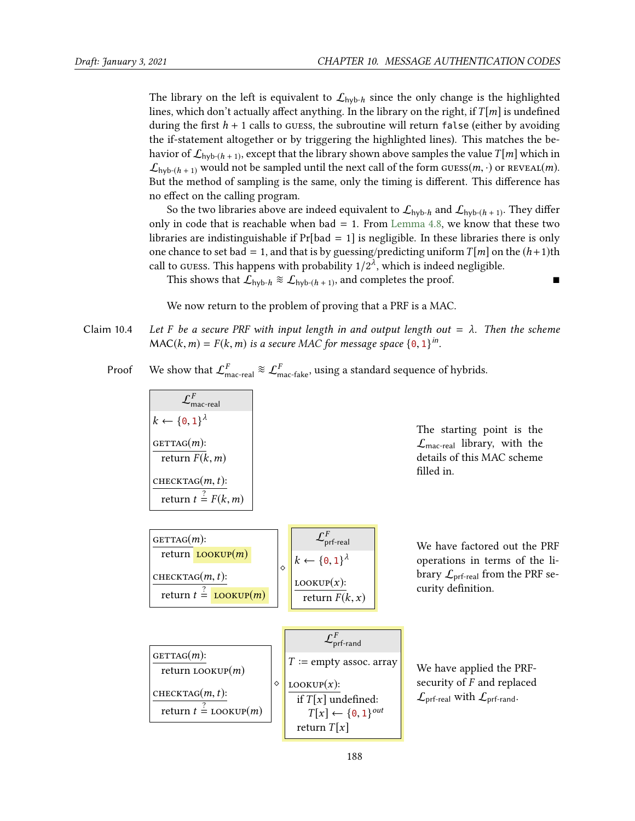The library on the left is equivalent to  $\mathcal{L}_{\text{hyb-}h}$  since the only change is the highlighted lines, which don't actually affect anything. In the library on the right, if  $T[m]$  is undefined during the first  $h + 1$  calls to GUESS, the subroutine will return false (either by avoiding the if-statement altogether or by triggering the highlighted lines). This matches the behavior of  $\mathcal{L}_{\text{hyb-(h+1)}}$ , except that the library shown above samples the value  $T[m]$  which in  $\mathcal{L}_{\text{hyb}-(h+1)}$  would not be sampled until the next call of the form GUESS $(m, \cdot)$  or REVEAL $(m)$ . But the method of sampling is the same, only the timing is different. This difference has no effect on the calling program.

So the two libraries above are indeed equivalent to  $\mathcal{L}_{\text{hyb-h}}$  and  $\mathcal{L}_{\text{hyb-(h+1)}}$ . They differ only in code that is reachable when  $bad = 1$ . From [Lemma 4.8,](#page--1-0) we know that these two libraries are indistinguishable if  $Pr[bad = 1]$  is negligible. In these libraries there is only one chance to set bad = 1, and that is by guessing/predicting uniform  $T[m]$  on the  $(h+1)$ th call to GUESS. This happens with probability  $1/2^{\lambda}$ , which is indeed negligible.

This shows that  $\mathcal{L}_{\text{hyb-}h} \approx \mathcal{L}_{\text{hyb-(}h+1)}$ , and completes the proof. ■

We now return to the problem of proving that a PRF is a MAC.

Claim 10.4 Let F be a secure PRF with input length in and output length out  $= \lambda$ . Then the scheme  $MAC(k, m) = F(k, m)$  is a secure MAC for message space  $\{0, 1\}^{in}$ .

Proof We show that  $\mathcal{L}_{\text{mac-real}}^F \approx \mathcal{L}_{\text{mac-fake}}^F$ , using a standard sequence of hybrids.

| $\mathcal{L}_{\textsf{mac-real}}^F$<br>$k \leftarrow \{0,1\}^{\lambda}$<br>$GETTAG(m)$ :<br>return $F(k, m)$<br>CHECKTAG $(m, t)$ :<br>return $t = F(k, m)$ |                                                                                                                                                                        | The starting point is the<br>$\mathcal{L}_{\text{mac-real}}$ library, with the<br>details of this MAC scheme<br>filled in.                     |
|-------------------------------------------------------------------------------------------------------------------------------------------------------------|------------------------------------------------------------------------------------------------------------------------------------------------------------------------|------------------------------------------------------------------------------------------------------------------------------------------------|
| $GETTAG(m)$ :<br>return $\text{LOOKUP}(m)$<br>CHECKTAG $(m, t)$ :<br>return $t = \frac{?}{\text{LOOKUP}(m)}$                                                | $\mathcal{L}_{\text{prf-real}}^F$<br>$k \leftarrow \{0, 1\}^{\lambda}$<br>$\Diamond$<br>LOOKUP $(x)$ :<br>return $F(k, x)$                                             | We have factored out the PRF<br>operations in terms of the li-<br>brary $\mathcal{L}_{\text{prf-real}}$ from the PRF se-<br>curity definition. |
| GETTAG(m):<br>return $\text{LOOKUP}(m)$<br>♦<br>CHECKTAG $(m, t)$ :<br>return $t =$ LOOKUP $(m)$                                                            | $\mathcal{L}_{\text{prf-rand}}^{F}$<br>$T \coloneqq$ empty assoc. array<br>LOOKUP $(x)$ :<br>if $T[x]$ undefined:<br>$T[x] \leftarrow \{0, 1\}^{out}$<br>return $T[x]$ | We have applied the PRF-<br>security of $F$ and replaced<br>$\mathcal{L}_{\text{prf-real}}$ with $\mathcal{L}_{\text{prf-random}}$ .           |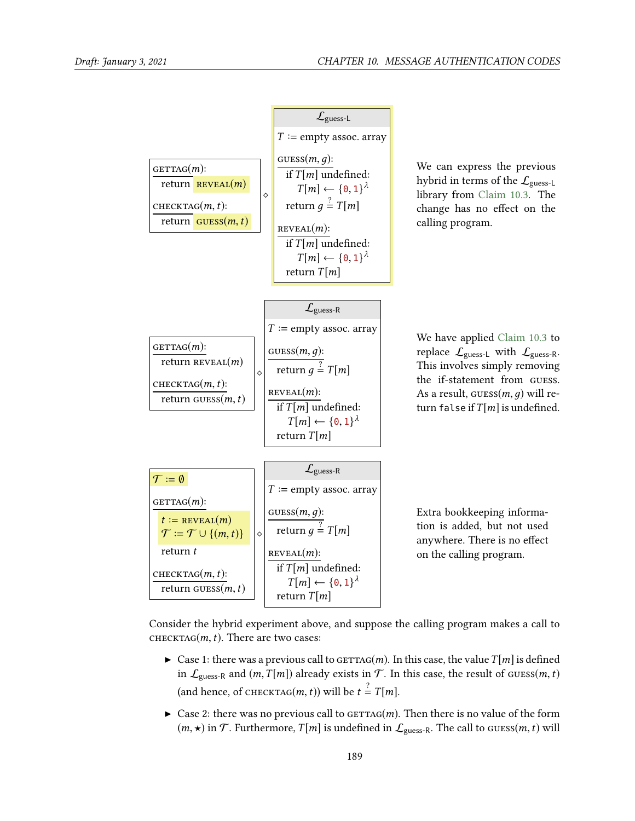

Consider the hybrid experiment above, and suppose the calling program makes a call to CHECKTAG( $m, t$ ). There are two cases:

- Gase 1: there was a previous call to  $GETAG(m)$ . In this case, the value  $T[m]$  is defined in  $\mathcal{L}_{\text{guess-R}}$  and  $(m, T[m])$  already exists in  $\mathcal{T}$ . In this case, the result of GUESS $(m, t)$ (and hence, of CHECKTAG(*m*, *t*)) will be  $t \stackrel{?}{=} T[m]$ .
- $\triangleright$  Case 2: there was no previous call to GETTAG(*m*). Then there is no value of the form  $(m, \star)$  in  $\mathcal T$ . Furthermore,  $T[m]$  is undefined in  $\mathcal L_{\text{guess-R}}$ . The call to GUESS $(m, t)$  will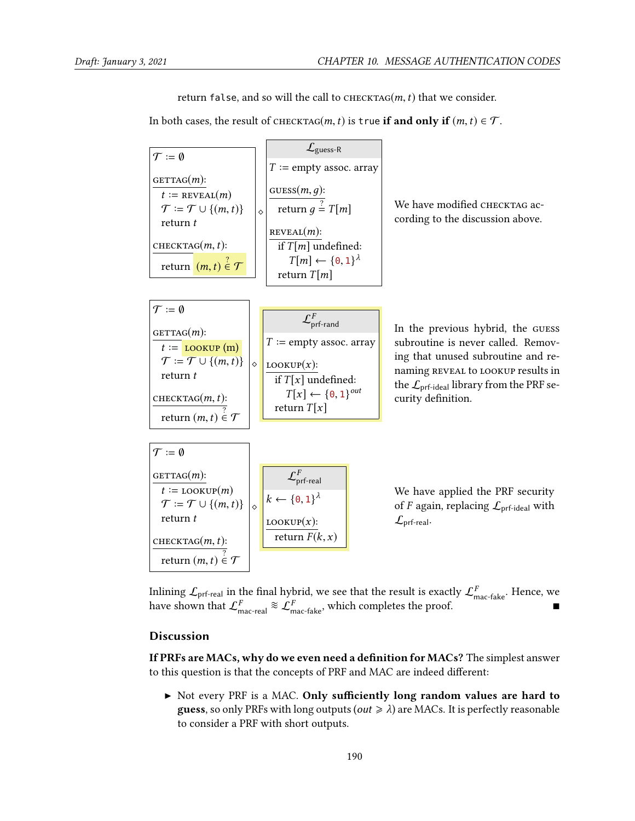return false, and so will the call to CHECKTAG( $m, t$ ) that we consider.

In both cases, the result of CHECKTAG(m, t) is true if and only if  $(m, t) \in \mathcal{T}$ .

| $\mathcal{T} \coloneqq \emptyset$<br>$GETTAG(m)$ :<br>$t := \text{REVEAL}(m)$<br>$\mathcal{T} := \mathcal{T} \cup \{(m, t)\}\$<br>return t<br>CHECKTAG $(m, t)$ :<br>return $(m, t) \stackrel{?}{\in} \mathcal{T}$ | $\mathcal{L}_{\text{guess-R}}$<br>$T \coloneqq$ empty assoc. array<br>GUESS $(m, g)$ :<br>return $g = T[m]$<br>$\Diamond$<br>$REVELAL(m)$ :<br>if $T[m]$ undefined:<br>$T[m] \leftarrow \{0,1\}^{\lambda}$<br>return $T[m]$ | We have modified CHECKTAG ac-<br>cording to the discussion above.                                                                                                                                                                          |
|--------------------------------------------------------------------------------------------------------------------------------------------------------------------------------------------------------------------|-----------------------------------------------------------------------------------------------------------------------------------------------------------------------------------------------------------------------------|--------------------------------------------------------------------------------------------------------------------------------------------------------------------------------------------------------------------------------------------|
| $\mathcal{T} := \emptyset$<br>GETTAG $(m)$ :<br>$t \coloneqq \text{LOOKUP (m)}$<br>$\mathcal{T} \coloneqq \mathcal{T} \cup \{(m, t)\}\$<br>return t<br>CHECKTAG $(m, t)$ :<br>return $(m, t) \in \mathcal{T}$      | $\mathcal{L}_{\mathsf{prf-rand}}^F$<br>$T \coloneqq$ empty assoc. array<br>LOOKUP $(x)$ :<br>if $T[x]$ undefined:<br>$T[x] \leftarrow \{0, 1\}^{out}$<br>return $T[x]$                                                      | In the previous hybrid, the GUESS<br>subroutine is never called. Remov-<br>ing that unused subroutine and re-<br>naming REVEAL to LOOKUP results in<br>the $\mathcal{L}_{\text{prf-ideal}}$ library from the PRF se-<br>curity definition. |
| $\mathcal{T} \coloneqq \emptyset$<br>$GETTAG(m)$ :<br>$t := \text{LOOKUP}(m)$<br>$\mathcal{T} := \mathcal{T} \cup \{(m, t)\}\;$<br>return t<br>CHECKTAG $(m, t)$ :<br>return $(m, t) \in \mathcal{T}$              | $\mathcal{L}_{\text{prf-real}}^F$<br>$k \leftarrow \{0,1\}^{\lambda}$<br>LOOKUP $(x)$ :<br>return $F(k, x)$                                                                                                                 | We have applied the PRF security<br>of <i>F</i> again, replacing $\mathcal{L}_{\text{prf-ideal}}$ with<br>$\mathcal{L}_{\text{prf-real}}$ .                                                                                                |

Inlining  $\mathcal{L}_{\sf prf\text{-}real}$  in the final hybrid, we see that the result is exactly  $\mathcal{L}_{\sf mac\text{-}fake}^F.$  Hence, we have shown that  $\mathcal{L}_{\text{mac-real}}^F \approx \mathcal{L}_{\text{mac-fake}}^F$ , which completes the proof. ■

## Discussion

If PRFs are MACs, why do we even need a definition for MACs? The simplest answer to this question is that the concepts of PRF and MAC are indeed different:

 $\triangleright$  Not every PRF is a MAC. Only sufficiently long random values are hard to guess, so only PRFs with long outputs (out  $\ge \lambda$ ) are MACs. It is perfectly reasonable to consider a PRF with short outputs.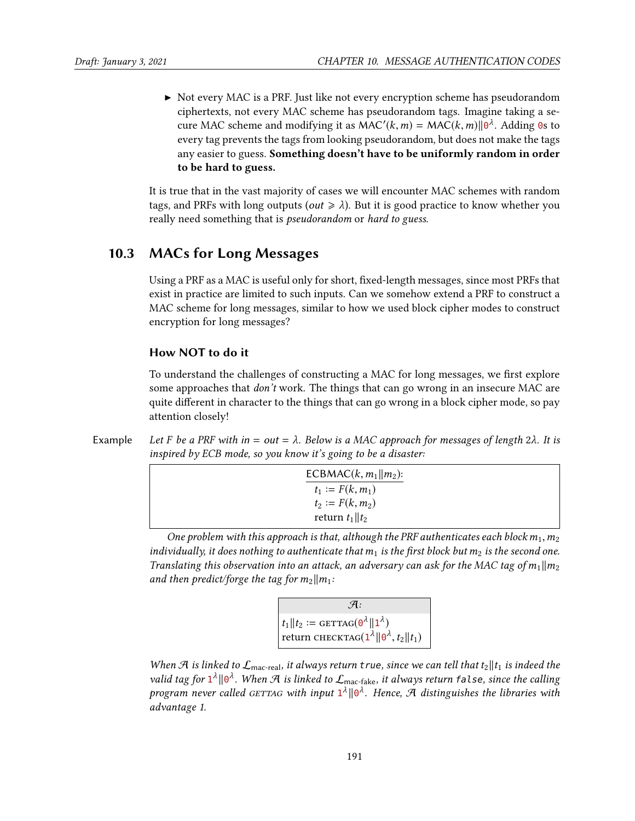$\triangleright$  Not every MAC is a PRF. Just like not every encryption scheme has pseudorandom ciphertexts, not every MAC scheme has pseudorandom tags. Imagine taking a secure MAC scheme and modifying it as  $MAC'(k, m) = MAC(k, m) || \theta^{\lambda}$ . Adding 0s to<br>every tog prevents the tags from looking pseudorandom, but does not make the tags every tag prevents the tags from looking pseudorandom, but does not make the tags any easier to guess. Something doesn't have to be uniformly random in order to be hard to guess.

It is true that in the vast majority of cases we will encounter MAC schemes with random tags, and PRFs with long outputs (*out*  $\ge \lambda$ ). But it is good practice to know whether you really need something that is *pseudorandom* or *hard to guess*.

# 10.3 MACs for Long Messages

Using a PRF as a MAC is useful only for short, fixed-length messages, since most PRFs that exist in practice are limited to such inputs. Can we somehow extend a PRF to construct a MAC scheme for long messages, similar to how we used block cipher modes to construct encryption for long messages?

## How NOT to do it

To understand the challenges of constructing a MAC for long messages, we first explore some approaches that *don't* work. The things that can go wrong in an insecure MAC are quite different in character to the things that can go wrong in a block cipher mode, so pay attention closely!

Example Let F be a PRF with in = out =  $\lambda$ . Below is a MAC approach for messages of length 2 $\lambda$ . It is inspired by ECB mode, so you know it's going to be a disaster:

| ECBMAC $(k, m_1    m_2)$ : |  |
|----------------------------|--|
| $t_1 := F(k, m_1)$         |  |
| $t_2 := F(k, m_2)$         |  |
| return $t_1$    $t_2$      |  |
|                            |  |

One problem with this approach is that, although the PRF authenticates each block  $m_1, m_2$ individually, it does nothing to authenticate that  $m_1$  is the first block but  $m_2$  is the second one. Translating this observation into an attack, an adversary can ask for the MAC tag of  $m_1 || m_2$ and then predict/forge the tag for  $m_2 || m_1$ :

| $\mathcal{A}$ :                                                                                                                                   |
|---------------------------------------------------------------------------------------------------------------------------------------------------|
| $  t_1  t_2 := \texttt{GETTAG}(\mathbf{\Theta}^{\lambda}  \mathbf{1}^{\lambda})$<br>return CHECKTAG $(1^{\lambda} \ \theta^{\lambda}, t_2\  t_1)$ |

When A is linked to  $\mathcal{L}_{\text{mac-real}}$ , it always return true, since we can tell that  $t_2 || t_1$  is indeed the valid tag for  $1^{\lambda}$  || $0^{\lambda}$ . When A is linked to  $\mathcal{L}_{\text{mac-fake}}$ , it always return false, since the calling program never called GETTAG with input  $1^{\lambda} \| 0^{\lambda}$ . Hence, A distinguishes the libraries with advantage 1.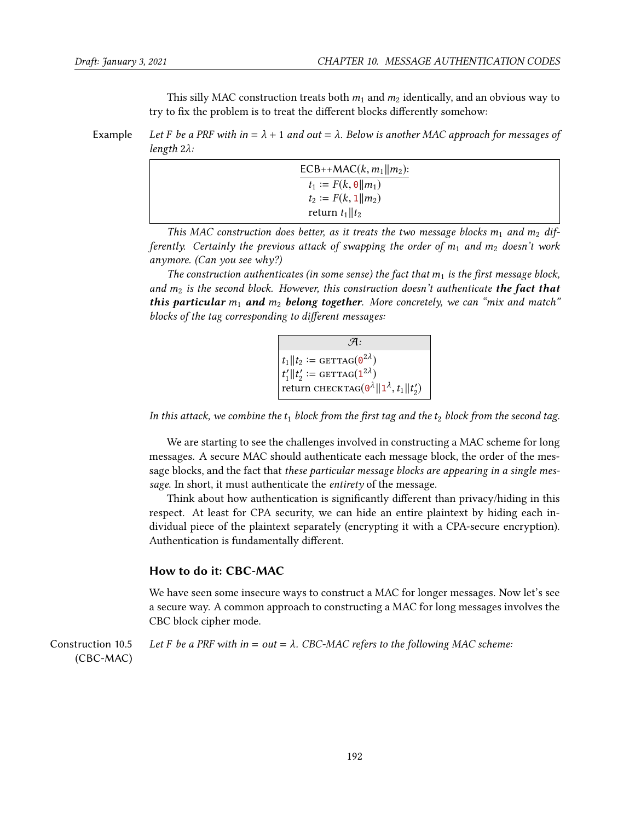This silly MAC construction treats both  $m_1$  and  $m_2$  identically, and an obvious way to try to fix the problem is to treat the different blocks differently somehow:

Example Let F be a PRF with in  $= \lambda + 1$  and out  $= \lambda$ . Below is another MAC approach for messages of length <sup>2</sup>λ:

| $ECB++MAC(k, m_1    m_2):$ |
|----------------------------|
| $t_1 := F(k, 0  m_1)$      |
| $t_2 := F(k, 1  m_2)$      |
| return $t_1$    $t_2$      |
|                            |

This MAC construction does better, as it treats the two message blocks  $m_1$  and  $m_2$  differently. Certainly the previous attack of swapping the order of  $m_1$  and  $m_2$  doesn't work anymore. (Can you see why?)

The construction authenticates (in some sense) the fact that  $m_1$  is the first message block, and  $m_2$  is the second block. However, this construction doesn't authenticate the fact that this particular  $m_1$  and  $m_2$  belong together. More concretely, we can "mix and match" blocks of the tag corresponding to different messages:

> $\mathcal{A}$ :  $t_1$ || $t_2$  := GETTAG( $\theta^{2\lambda}$ )<br>  $t'$ || $t'$  := GETTAG( $1^{2\lambda}$ ) t  $\lim_{t \to 1} |t_2| := \text{GETTAG}(1^{2\lambda})$ return checktag $(0^{\lambda} \| 1^{\lambda}, t_1 \| t_2^{\prime})$

In this attack, we combine the  $t_1$  block from the first tag and the  $t_2$  block from the second tag.

We are starting to see the challenges involved in constructing a MAC scheme for long messages. A secure MAC should authenticate each message block, the order of the message blocks, and the fact that these particular message blocks are appearing in a single message. In short, it must authenticate the entirety of the message.

Think about how authentication is significantly different than privacy/hiding in this respect. At least for CPA security, we can hide an entire plaintext by hiding each individual piece of the plaintext separately (encrypting it with a CPA-secure encryption). Authentication is fundamentally different.

#### How to do it: CBC-MAC

We have seen some insecure ways to construct a MAC for longer messages. Now let's see a secure way. A common approach to constructing a MAC for long messages involves the CBC block cipher mode.

Construction 10.5 (CBC-MAC) Let F be a PRF with in = out =  $\lambda$ . CBC-MAC refers to the following MAC scheme: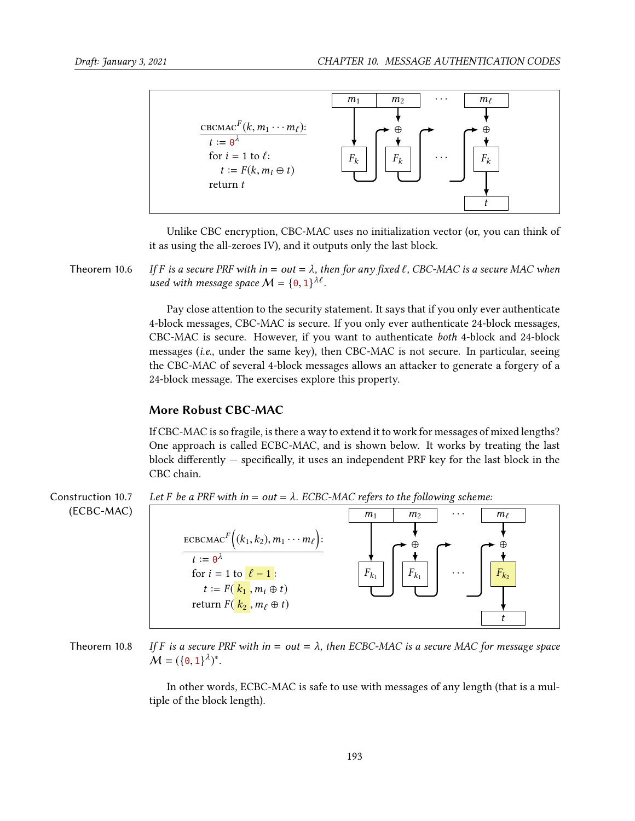

Unlike CBC encryption, CBC-MAC uses no initialization vector (or, you can think of it as using the all-zeroes IV), and it outputs only the last block.

Theorem 10.6 If F is a secure PRF with in = out =  $\lambda$ , then for any fixed  $\ell$ , CBC-MAC is a secure MAC when used with message space  $M = \{0, 1\}^{\lambda \ell}$ .

> Pay close attention to the security statement. It says that if you only ever authenticate 4-block messages, CBC-MAC is secure. If you only ever authenticate 24-block messages, CBC-MAC is secure. However, if you want to authenticate both 4-block and 24-block messages (i.e., under the same key), then CBC-MAC is not secure. In particular, seeing the CBC-MAC of several 4-block messages allows an attacker to generate a forgery of a 24-block message. The exercises explore this property.

## More Robust CBC-MAC

If CBC-MAC is so fragile, is there a way to extend it to work for messages of mixed lengths? One approach is called ECBC-MAC, and is shown below. It works by treating the last block differently  $-$  specifically, it uses an independent PRF key for the last block in the CBC chain.



Theorem 10.8 If F is a secure PRF with in = out =  $\lambda$ , then ECBC-MAC is a secure MAC for message space  $M = (\{0, 1\}^{\lambda})^*$ .

> In other words, ECBC-MAC is safe to use with messages of any length (that is a multiple of the block length).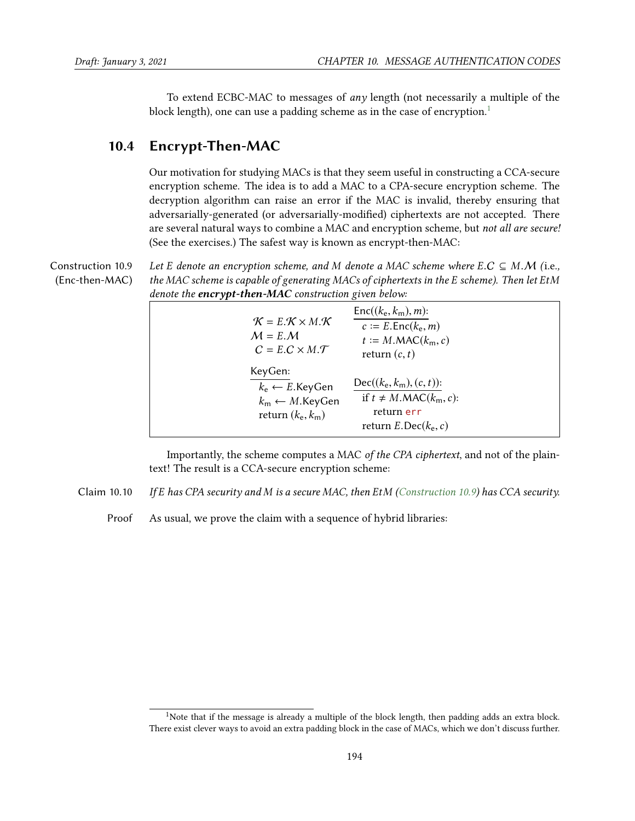To extend ECBC-MAC to messages of any length (not necessarily a multiple of the block length), one can use a padding scheme as in the case of encryption.<sup>[1](#page-12-0)</sup>

## 10.4 Encrypt-Then-MAC

Our motivation for studying MACs is that they seem useful in constructing a CCA-secure encryption scheme. The idea is to add a MAC to a CPA-secure encryption scheme. The decryption algorithm can raise an error if the MAC is invalid, thereby ensuring that adversarially-generated (or adversarially-modified) ciphertexts are not accepted. There are several natural ways to combine a MAC and encryption scheme, but not all are secure! (See the exercises.) The safest way is known as encrypt-then-MAC:

Construction 10.9 (Enc-then-MAC) Let E denote an encryption scheme, and M denote a MAC scheme where  $E.C \subseteq M.M$  (i.e., the MAC scheme is capable of generating MACs of ciphertexts in the E scheme). Then let EtM denote the encrypt-then-MAC construction given below:

<span id="page-12-1"></span>

| $K = E.K \times M.K$<br>$M = E.M$<br>$C = E.C \times M.T$ | $Enc((k_e, k_m), m)$ :<br>$c \coloneqq E$ . Enc $(k_e, m)$<br>$t \coloneqq M.MAC(k_m, c)$<br>return $(c, t)$ |
|-----------------------------------------------------------|--------------------------------------------------------------------------------------------------------------|
| KeyGen:                                                   | $Dec((k_e, k_m), (c, t))$ :                                                                                  |
| $k_e \leftarrow E$ .KeyGen                                | if $t \neq M$ .MAC $(k_m, c)$ :                                                                              |
| $k_m \leftarrow M$ . Key Gen                              | return err                                                                                                   |
| return $(k_e, k_m)$                                       | return E.Dec( $k_e$ , c)                                                                                     |

Importantly, the scheme computes a MAC of the CPA ciphertext, and not of the plaintext! The result is a CCA-secure encryption scheme:

Claim 10.10 If E has CPA security and M is a secure MAC, then EtM [\(Construction 10.9\)](#page-12-1) has CCA security.

Proof As usual, we prove the claim with a sequence of hybrid libraries:

<span id="page-12-0"></span><sup>&</sup>lt;sup>1</sup>Note that if the message is already a multiple of the block length, then padding adds an extra block. There exist clever ways to avoid an extra padding block in the case of MACs, which we don't discuss further.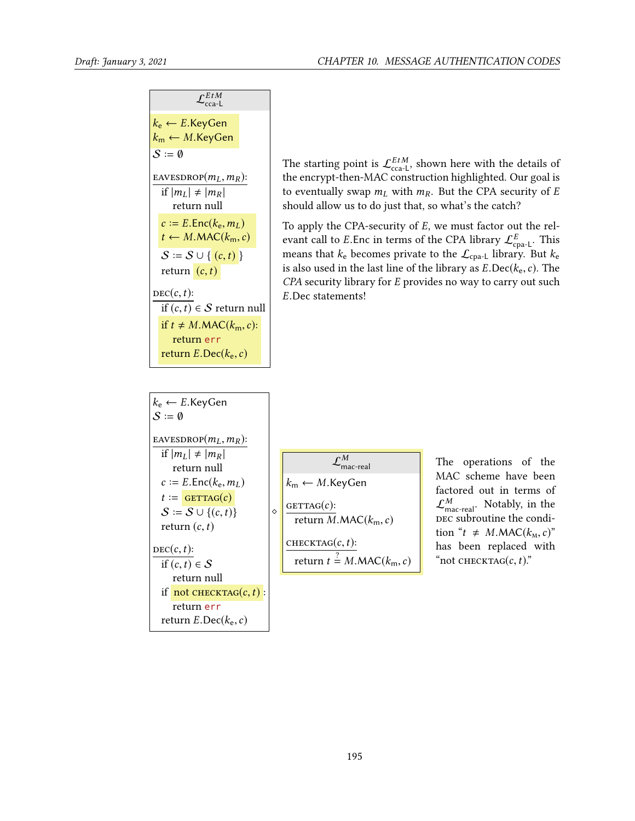| $\mathcal{L}_{cc}^{EtM}$                                                     |
|------------------------------------------------------------------------------|
| $k_{\rm e} \leftarrow E$ .KeyGen<br>$k_m \leftarrow M$ .KeyGen               |
| $S := \emptyset$                                                             |
| EAVESDROP $(m_L, m_R)$ :<br>if $ m_L  \neq  m_R $<br>return null             |
| $c := E$ . Enc $(k_e, m_L)$<br>$t \leftarrow M.MAC(k_m, c)$                  |
| $S \coloneqq S \cup \{ (c, t) \}$<br>return $(c, t)$                         |
| $DEC(c, t)$ :<br>if $(c, t) \in S$ return null                               |
| if $t \neq M$ .MAC $(k_m, c)$ :<br>return err<br>return $E$ .Dec( $k_e, c$ ) |
|                                                                              |

The starting point is  $\mathcal{L}^{EtM}_{\text{cca-L}}$ , shown here with the details of the encrypt-then-MAC construction highlighted. Our goal is to eventually swap  $m<sub>L</sub>$  with  $m<sub>R</sub>$ . But the CPA security of E should allow us to do just that, so what's the catch?

To apply the CPA-security of E, we must factor out the relevant call to E.Enc in terms of the CPA library  $\mathcal{L}_{\text{cpa-L}}^E$ . This means that k becomes private to the  $\mathcal{L}_{\text{cpa-L}}$ . library, But k means that  $k_e$  becomes private to the  $\mathcal{L}_{\text{cpa-L}}$  library. But  $k_e$ is also used in the last line of the library as  $E.$  Dec( $k_e$ , c). The CPA security library for E provides no way to carry out such E.Dec statements!

 $k_e \leftarrow E$ .KeyGen  $S := \emptyset$ EAVESDROP $(m_L, m_R)$ : if  $|m_L | \neq |m_R |$ return null  $c := E$ .Enc( $k_e, m_L$ )  $t := \text{GETTAG}(c)$  $S \coloneqq S \cup \{(c,t)\}\;$ return  $(c, t)$  $DEC(c,t):$ if  $(c, t) \in \mathcal{S}$ return null if not CHECKTAG $(c, t)$ : return err return  $E$ .Dec( $k_e, c$ )

 $\Diamond$ 

 $\mathcal{L}^{M}_{\text{mac-real}}$  $k_m \leftarrow M$ .KeyGen  $GETTAG(c):$ return  $M.MAC(k_m, c)$ CHECKTAG $(c, t)$ : return  $t \stackrel{?}{=} M.MAC(k_m, c)$ 

The operations of the MAC scheme have been factored out in terms of  $\mathcal{L}^M_{\text{mac-real}}$ . Notably, in the DEC subroutine the condition " $t \neq M.MAC(k_M,c)$ " has been replaced with "not CHECKTAG $(c, t)$ ."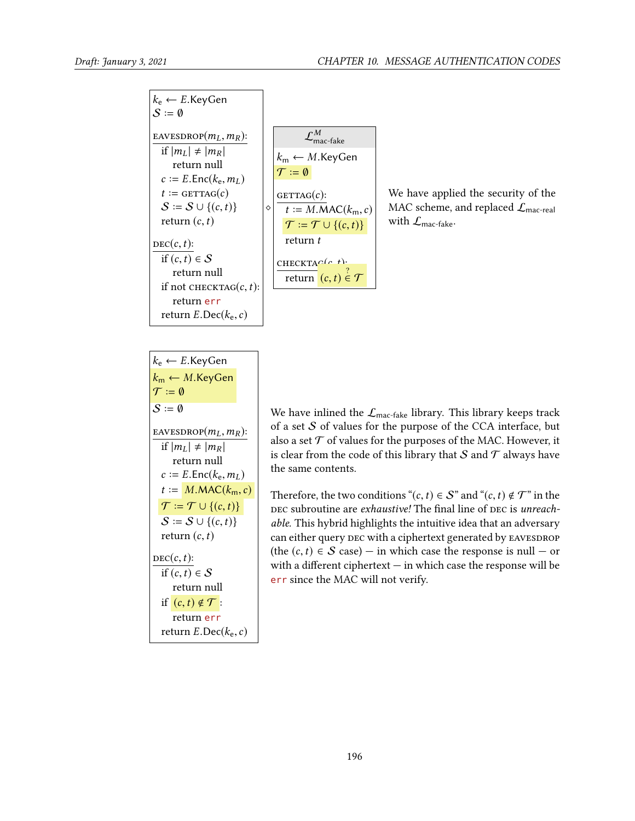| $k_e \leftarrow E$ .KeyGen                                                         |                                                                             |
|------------------------------------------------------------------------------------|-----------------------------------------------------------------------------|
| $S \coloneqq \emptyset$                                                            |                                                                             |
| EAVESDROP $(m_L, m_R)$ :<br>if $ m_L  \neq  m_R $                                  | $\int M$<br>iac-fake                                                        |
| return null<br>$c \coloneqq E$ . Enc $(k_e, m_l)$                                  | $k_m \leftarrow M$ .KeyGen<br>$\mathcal{T} := \emptyset$                    |
| $t \coloneqq$ GETTAG $(c)$<br>$\mathcal{S} \coloneqq \mathcal{S} \cup \{(c, t)\}\$ | $GETTAG(c)$ :<br>♦                                                          |
| return $(c, t)$                                                                    | $t \coloneqq M.MAC(k_m, c)$<br>$\mathcal{T} := \mathcal{T} \cup \{(c,t)\}\$ |
| $DEC(c, t)$ :                                                                      | return t                                                                    |
| if $(c, t) \in \mathcal{S}$<br>return null<br>if not CHECKTAG $(c, t)$ :           | CHECKTA $C(e, t)$<br>return $(c, t) \in \mathcal{T}$                        |
| return err                                                                         |                                                                             |
| return $E$ .Dec( $k_e$ , c)                                                        |                                                                             |

We have applied the security of the MAC scheme, and replaced  $\mathcal{L}_{\text{mac-real}}$ with  $\mathcal{L}_{\text{mac-fake}}$ .

 $k_e \leftarrow E$ .KeyGen  $k_m \leftarrow M$ .KeyGen  $\mathcal{T} := \emptyset$  $S \coloneqq \emptyset$  $EAVESDROP(m<sub>L</sub>,m<sub>R</sub>)$ : if  $|m_L | \neq |m_R|$ return null  $c := E$ .Enc $(k_e, m_L)$  $t := M.MAC(k_m, c)$  $\mathcal{T} := \mathcal{T} \cup \{(c,t)\}$  $\mathcal{S} \coloneqq \mathcal{S} \cup \{(c,t)\}$ return  $(c, t)$  $\text{DEC}(c,t)$ : if  $(c, t) \in \mathcal{S}$ return null if  $(c, t) \notin \mathcal{T}$ : return err return  $E$ .Dec( $k_e, c$ )

We have inlined the  $\mathcal{L}_{\text{mac-fake}}$  library. This library keeps track of a set  $S$  of values for the purpose of the CCA interface, but also a set  $\mathcal T$  of values for the purposes of the MAC. However, it is clear from the code of this library that  $S$  and  $T$  always have the same contents.

Therefore, the two conditions " $(c, t) \in S$ " and " $(c, t) \notin T$ " in the DEC subroutine are exhaustive! The final line of DEC is unreachable. This hybrid highlights the intuitive idea that an adversary can either query DEC with a ciphertext generated by EAVESDROP (the  $(c, t) \in S$  case) — in which case the response is null — or with a different ciphertext  $-$  in which case the response will be err since the MAC will not verify.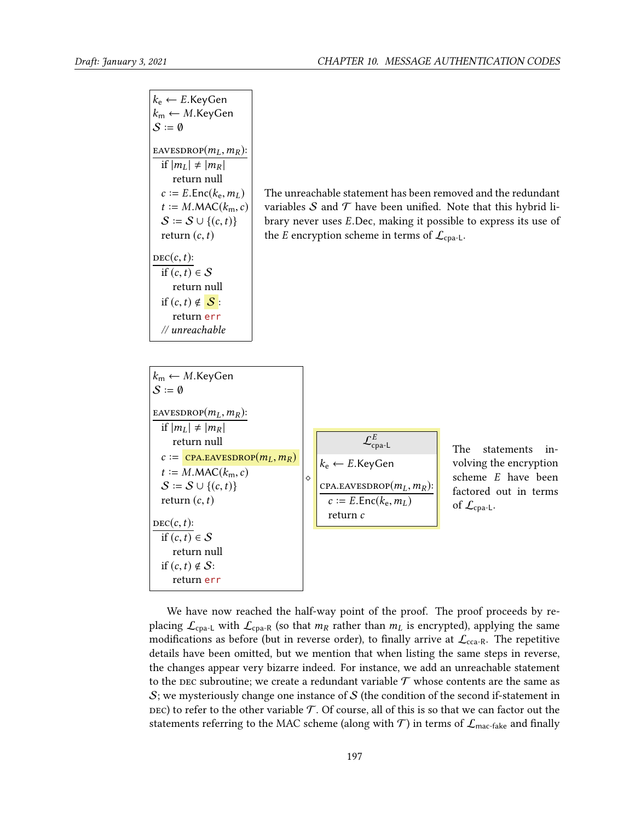$k_e \leftarrow E$ .KeyGen  $k_m \leftarrow M$ .KeyGen  $S \coloneqq \emptyset$ EAVESDROP $(m_L, m_R)$ : if  $|m_L | \neq |m_R|$ return null  $c \coloneqq E$ . Enc $(k_e, m_L)$  $t := M.MAC(k_m, c)$  $S \coloneqq S \cup \{(c, t)\}\;$ return  $(c, t)$  $\text{DEC}(c,t)$ : if  $(c, t) \in \mathcal{S}$ return null if  $(c, t) \notin S$ : return err // unreachable

The unreachable statement has been removed and the redundant variables S and  $\mathcal T$  have been unified. Note that this hybrid library never uses E.Dec, making it possible to express its use of the *E* encryption scheme in terms of  $\mathcal{L}_{\text{cpa-L}}$ .



The statements involving the encryption scheme E have been factored out in terms of  $\mathcal{L}_{\text{cpa-L}}$ .

We have now reached the half-way point of the proof. The proof proceeds by replacing  $\mathcal{L}_{\text{cpa-L}}$  with  $\mathcal{L}_{\text{cpa-R}}$  (so that  $m_R$  rather than  $m_L$  is encrypted), applying the same modifications as before (but in reverse order), to finally arrive at  $\mathcal{L}_{\text{cca-R}}$ . The repetitive details have been omitted, but we mention that when listing the same steps in reverse, the changes appear very bizarre indeed. For instance, we add an unreachable statement to the DEC subroutine; we create a redundant variable  $\mathcal T$  whose contents are the same as  $S$ ; we mysteriously change one instance of S (the condition of the second if-statement in DEC) to refer to the other variable  $\mathcal T$ . Of course, all of this is so that we can factor out the statements referring to the MAC scheme (along with  $\mathcal{T}$ ) in terms of  $\mathcal{L}_{\text{mac-fake}}$  and finally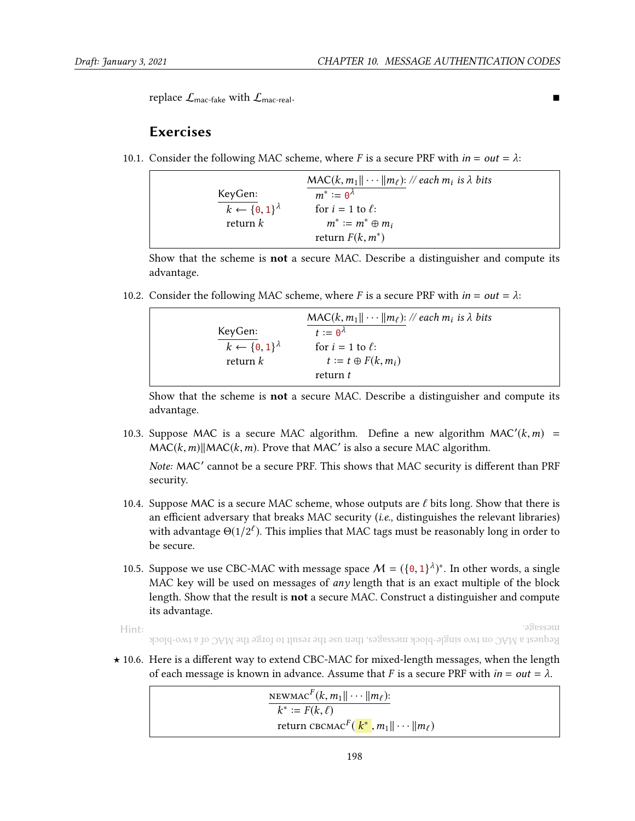replace  $\mathcal{L}_{\text{mac-fake}}$  with  $\mathcal{L}_{\text{mac-real}}$ .

## Exercises

10.1. Consider the following MAC scheme, where F is a secure PRF with  $in = out = \lambda$ :

|                                  | $MAC(k, m_1    \cdots    m_\ell): // each m_i is \lambda bits$ |
|----------------------------------|----------------------------------------------------------------|
| KeyGen:                          | $m^* := \theta^{\lambda}$                                      |
| $k \leftarrow \{0,1\}^{\lambda}$ | for $i = 1$ to $\ell$ :                                        |
| return $k$                       | $m^* := m^* \oplus m_i$                                        |
|                                  | return $F(k, m^*)$                                             |
|                                  |                                                                |

Show that the scheme is not a secure MAC. Describe a distinguisher and compute its advantage.

10.2. Consider the following MAC scheme, where F is a secure PRF with  $in = out = \lambda$ :

| KeyGen:<br>return $k$ | $k \leftarrow \{0,1\}^{\lambda}$ | $MAC(k, m_1    \cdots    m_\ell): // each m_i is \lambda bits$<br>$t := \Theta^{\lambda}$<br>for $i = 1$ to $\ell$ :<br>$t := t \oplus F(k, m_i)$<br>return t |  |
|-----------------------|----------------------------------|---------------------------------------------------------------------------------------------------------------------------------------------------------------|--|
|                       |                                  |                                                                                                                                                               |  |

Show that the scheme is not a secure MAC. Describe a distinguisher and compute its advantage.

10.3. Suppose MAC is a secure MAC algorithm. Define a new algorithm MAC'(k, m) =  $MAC(k, m)$  Prove that MAC' is also a secure MAC algorithm  $MAC(k, m)$ ||MAC(k, m). Prove that MAC' is also a secure MAC algorithm.

Note: MAC' cannot be a secure PRF. This shows that MAC security is different than PRF security.

- 10.4. Suppose MAC is a secure MAC scheme, whose outputs are  $\ell$  bits long. Show that there is an efficient adversary that breaks MAC security (i.e., distinguishes the relevant libraries) with advantage  $\Theta(1/2^{\ell})$ . This implies that MAC tags must be reasonably long in order to be sequre be secure.
- 10.5. Suppose we use CBC-MAC with message space  $M = (\{0, 1\}^{\lambda})^*$ . In other words, a single MAC key will be used on messages of any length that is an exact multiple of the block MAC key will be used on messages of  $any$  length that is an exact multiple of the block length. Show that the result is not a secure MAC. Construct a distinguisher and compute its advantage.

Hint:

message.

Request <sup>a</sup> MAC on two single-block messages, then use the result to forge the MAC of <sup>a</sup> two-block

 $\star$  10.6. Here is a different way to extend CBC-MAC for mixed-length messages, when the length of each message is known in advance. Assume that F is a secure PRF with  $in = out = \lambda$ .

> $\frac{\text{newmac}^F(k, m_1 || \cdots || m_\ell)\text{:}}{k^* := E(k, \ell)}$ return CBCMAC<sup>F</sup> $(k^*, m_1 || \cdots || m_\ell)$ \* :=  $F(k, \ell)$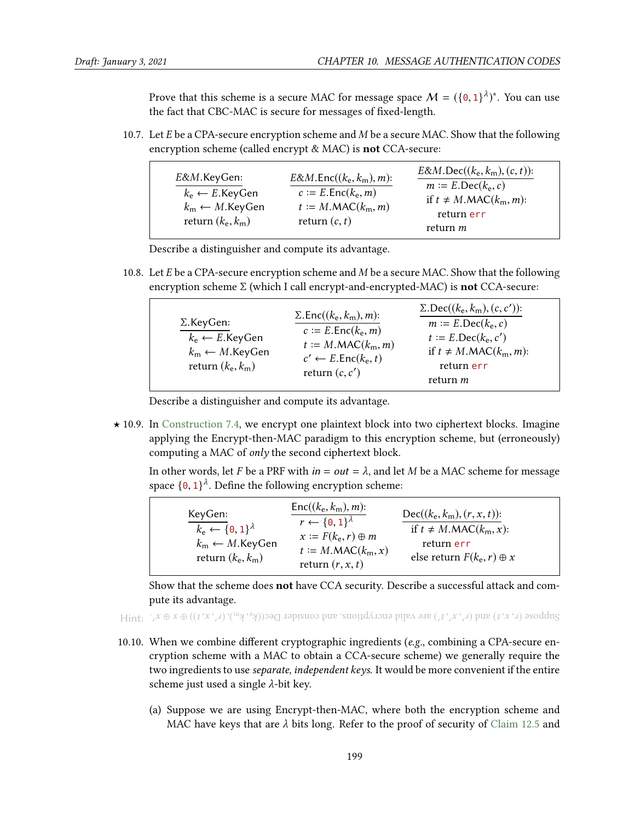Prove that this scheme is a secure MAC for message space  $M = (\{0, 1\}^{\lambda})^*$ . You can use the foct that CBC-MAC is secure for messages of fixed-length the fact that CBC-MAC is secure for messages of fixed-length.

10.7. Let E be a CPA-secure encryption scheme and  $M$  be a secure MAC. Show that the following encryption scheme (called encrypt & MAC) is not CCA-secure:

| $E\&M.Dec((k_e, k_m), (c, t))$ :<br>$E\&M.\text{Enc}((k_e, k_m), m)$ :<br><i>E&amp;M.KeyGen:</i><br>$m := E \cdot \text{Dec}(k_e, c)$<br>$c := E$ . Enc $(k_e, m)$<br>$k_e \leftarrow E$ .KeyGen<br>if $t \neq M$ . MAC $(k_m, m)$ :<br>$t := M.MAC(k_m, m)$<br>$k_m \leftarrow M$ .KeyGen<br>return err<br>return $(k_e, k_m)$<br>return $(c, t)$<br>return <i>m</i> |  |
|-----------------------------------------------------------------------------------------------------------------------------------------------------------------------------------------------------------------------------------------------------------------------------------------------------------------------------------------------------------------------|--|
|-----------------------------------------------------------------------------------------------------------------------------------------------------------------------------------------------------------------------------------------------------------------------------------------------------------------------------------------------------------------------|--|

Describe a distinguisher and compute its advantage.

10.8. Let  $E$  be a CPA-secure encryption scheme and  $M$  be a secure MAC. Show that the following encryption scheme  $\Sigma$  (which I call encrypt-and-encrypted-MAC) is **not** CCA-secure:

| $\Sigma$ .KeyGen:<br>$k_e \leftarrow E$ . Key Gen<br>$k_m \leftarrow M$ . Key Gen<br>return $(k_e, k_m)$ | $\Sigma$ . Enc $((k_e, k_m), m)$ :<br>$c \coloneqq E$ . Enc $(k_e, m)$<br>$t \coloneqq M.\text{MAC}(k_m, m)$<br>$c' \leftarrow E$ . Enc $(k_e, t)$<br>return $(c, c')$ | $\Sigma$ .Dec( $(k_e, k_m)$ , $(c, c')$ ):<br>$m := E \cdot \text{Dec}(k_e, c)$<br>$t \coloneq E \cdot \text{Dec}(k_e, c')$<br>if $t \neq M$ .MAC $(k_m, m)$ :<br>return err<br>return <i>m</i> |
|----------------------------------------------------------------------------------------------------------|------------------------------------------------------------------------------------------------------------------------------------------------------------------------|-------------------------------------------------------------------------------------------------------------------------------------------------------------------------------------------------|
|                                                                                                          |                                                                                                                                                                        |                                                                                                                                                                                                 |

Describe a distinguisher and compute its advantage.

 $\star$  10.9. In [Construction 7.4,](#page--1-1) we encrypt one plaintext block into two ciphertext blocks. Imagine applying the Encrypt-then-MAC paradigm to this encryption scheme, but (erroneously) computing a MAC of only the second ciphertext block.

In other words, let F be a PRF with  $in = out = \lambda$ , and let M be a MAC scheme for message space  $\{0, 1\}^{\lambda}$ . Define the following encryption scheme:

| return $(r, x, t)$ | $Enc((k_e, k_m), m)$ :<br>KeyGen:<br>$r \leftarrow \{0,1\}^{\lambda}$<br>$k_{\rm e} \leftarrow \{0,1\}^{\lambda}$<br>$x := F(k_e, r) \oplus m$<br>$k_m \leftarrow M$ .KeyGen<br>return err<br>$t \coloneqq M.\text{MAC}(k_m, x)$<br>return $(k_e, k_m)$ | $Dec((k_e, k_m), (r, x, t))$ :<br>if $t \neq M.MAC(k_m, x)$ :<br>else return $F(k_e, r) \oplus x$ |
|--------------------|---------------------------------------------------------------------------------------------------------------------------------------------------------------------------------------------------------------------------------------------------------|---------------------------------------------------------------------------------------------------|
|--------------------|---------------------------------------------------------------------------------------------------------------------------------------------------------------------------------------------------------------------------------------------------------|---------------------------------------------------------------------------------------------------|

Show that the scheme does not have CCA security. Describe a successful attack and compute its advantage.

Hint:  $f(x, x, y)$  and  $f(x, x', t')$  we valid encryptions, and consider Dec $((k_e, k_m), (x, x, t))$   $(x, x, y)$  based  $x'$ .

- 10.10. When we combine different cryptographic ingredients ( $e.g.,$  combining a CPA-secure encryption scheme with a MAC to obtain a CCA-secure scheme) we generally require the two ingredients to use *separate, independent keys*. It would be more convenient if the entire scheme just used a single  $\lambda$ -bit key.
	- (a) Suppose we are using Encrypt-then-MAC, where both the encryption scheme and MAC have keys that are  $\lambda$  bits long. Refer to the proof of security of [Claim 12.5](#page--1-2) and